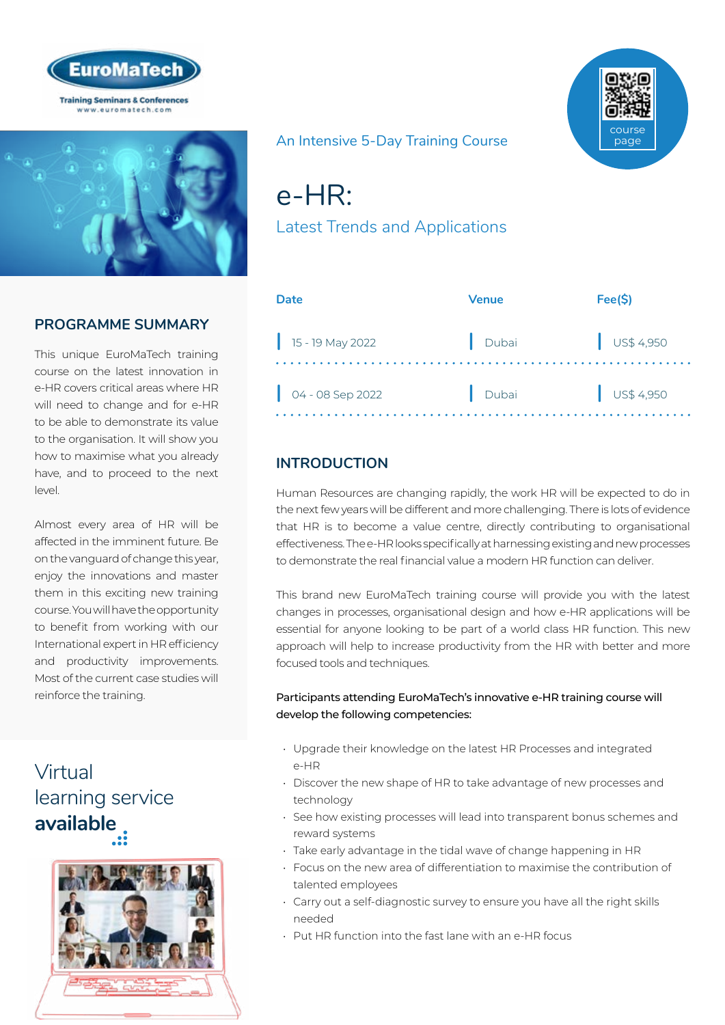



# **PROGRAMME SUMMARY**

This unique EuroMaTech training course on the latest innovation in e-HR covers critical areas where HR will need to change and for e-HR to be able to demonstrate its value to the organisation. It will show you how to maximise what you already have, and to proceed to the next level.

Almost every area of HR will be affected in the imminent future. Be on the vanguard of change this year, enjoy the innovations and master them in this exciting new training course. You will have the opportunity to benefit from working with our International expert in HR efficiency and productivity improvements. Most of the current case studies will reinforce the training.

# Virtual [learning service](https://www.euromatech.com/seminars/e-hr-1/)  **available**



### An Intensive 5-Day Training Course

# e-HR:

Latest Trends and Applications

| Date             | Venue | Fee(S)               |
|------------------|-------|----------------------|
| 15 - 19 May 2022 | Dubai | $\bigcup$ US\$ 4,950 |
| 04 - 08 Sep 2022 | Dubai | $\bigcup$ US\$ 4,950 |

# **INTRODUCTION**

Human Resources are changing rapidly, the work HR will be expected to do in the next few years will be different and more challenging. There is lots of evidence that HR is to become a value centre, directly contributing to organisational effectiveness. The e-HR looks specifically at harnessing existing and new processes to demonstrate the real financial value a modern HR function can deliver.

This brand new EuroMaTech training course will provide you with the latest changes in processes, organisational design and how e-HR applications will be essential for anyone looking to be part of a world class HR function. This new approach will help to increase productivity from the HR with better and more focused tools and techniques.

#### Participants attending EuroMaTech's innovative e-HR training course will develop the following competencies:

- Upgrade their knowledge on the latest HR Processes and integrated e-HR
- Discover the new shape of HR to take advantage of new processes and technology
- See how existing processes will lead into transparent bonus schemes and reward systems
- Take early advantage in the tidal wave of change happening in HR
- Focus on the new area of differentiation to maximise the contribution of talented employees
- Carry out a self-diagnostic survey to ensure you have all the right skills needed
- Put HR function into the fast lane with an e-HR focus

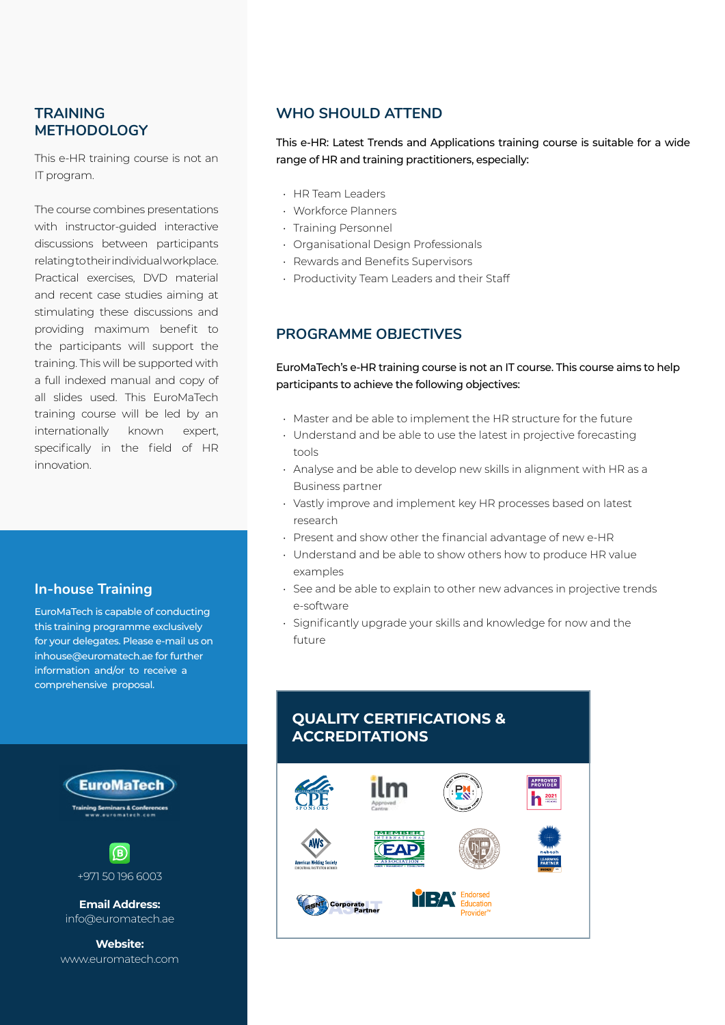### **TRAINING METHODOLOGY**

This e-HR training course is not an IT program.

The course combines presentations with instructor-guided interactive discussions between participants relating to their individual workplace. Practical exercises, DVD material and recent case studies aiming at stimulating these discussions and providing maximum benefit to the participants will support the training. This will be supported with a full indexed manual and copy of all slides used. This EuroMaTech training course will be led by an internationally known expert, specifically in the field of HR innovation.

#### **In-house Training**

EuroMaTech is capable of conducting this training programme exclusively for your delegates. Please e-mail us on inhouse@euromatech.ae for further information and/or to receive a comprehensive proposal.

> **EuroMaTech** nars & Co  $\mathbf{B}$

> > +971 50 196 6003

**Email Address:** info@euromatech.ae

**Website:** www.euromatech.com

### **WHO SHOULD ATTEND**

This e-HR: Latest Trends and Applications training course is suitable for a wide range of HR and training practitioners, especially:

- HR Team Leaders
- Workforce Planners
- Training Personnel
- Organisational Design Professionals
- Rewards and Benefits Supervisors
- Productivity Team Leaders and their Staff

### **PROGRAMME OBJECTIVES**

EuroMaTech's e-HR training course is not an IT course. This course aims to help participants to achieve the following objectives:

- Master and be able to implement the HR structure for the future
- Understand and be able to use the latest in projective forecasting tools
- Analyse and be able to develop new skills in alignment with HR as a Business partner
- Vastly improve and implement key HR processes based on latest research
- Present and show other the financial advantage of new e-HR
- Understand and be able to show others how to produce HR value examples
- See and be able to explain to other new advances in projective trends e-software
- Significantly upgrade your skills and knowledge for now and the future

# **QUALITY CERTIFICATIONS & ACCREDITATIONS**

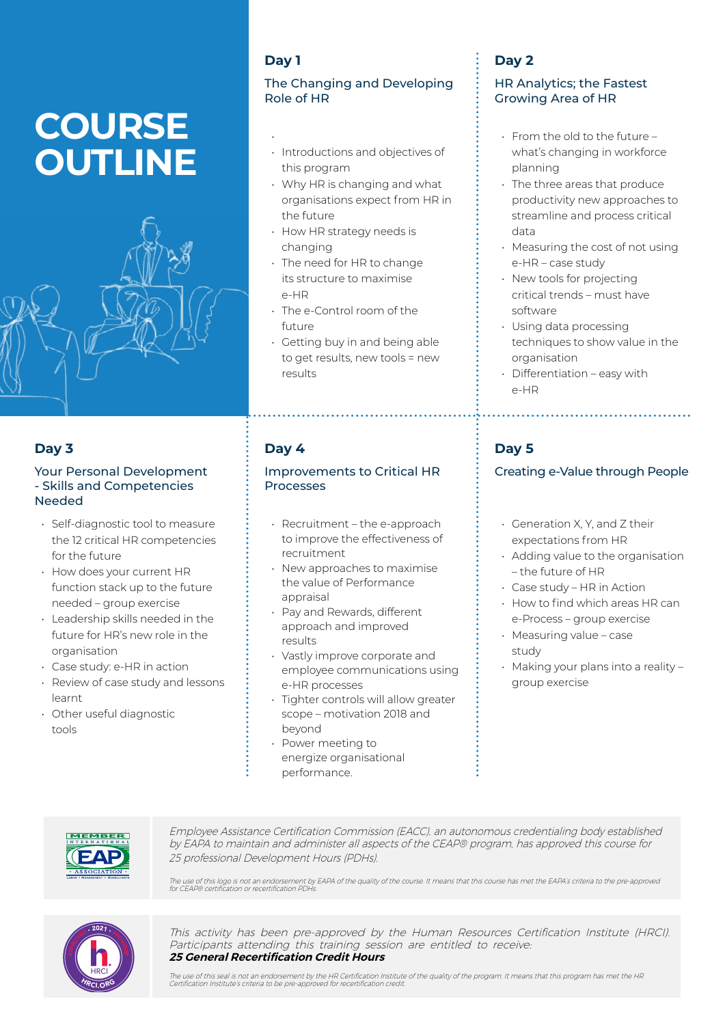# **COURSE OUTLINE**



### **Day 3**

#### Your Personal Development - Skills and Competencies Needed

- Self-diagnostic tool to measure the 12 critical HR competencies for the future
- How does your current HR function stack up to the future needed – group exercise
- Leadership skills needed in the future for HR's new role in the organisation
- Case study: e-HR in action
- Review of case study and lessons learnt
- Other useful diagnostic tools

# **Day 1**

•

#### The Changing and Developing Role of HR

- Introductions and objectives of this program
- Why HR is changing and what organisations expect from HR in the future
- How HR strategy needs is changing
- The need for HR to change its structure to maximise e-HR
- The e-Control room of the future
- Getting buy in and being able to get results, new tools = new results

## **Day 4**

#### Improvements to Critical HR Processes

- Recruitment the e-approach to improve the effectiveness of recruitment
- New approaches to maximise the value of Performance appraisal
- Pay and Rewards, different approach and improved results
- Vastly improve corporate and employee communications using e-HR processes
- Tighter controls will allow greater scope – motivation 2018 and beyond
- Power meeting to energize organisational performance.

# **Day 2**

#### HR Analytics; the Fastest Growing Area of HR

- From the old to the future what's changing in workforce planning
- The three areas that produce productivity new approaches to streamline and process critical data
- Measuring the cost of not using e-HR – case study
- New tools for projecting critical trends – must have software
- Using data processing techniques to show value in the organisation
- Differentiation easy with e-HR

# **Day 5**

### Creating e-Value through People

- Generation X, Y, and Z their expectations from HR
- Adding value to the organisation – the future of HR
- Case study HR in Action
- How to find which areas HR can e-Process – group exercise
- Measuring value case study
- Making your plans into a reality group exercise



Employee Assistance Certification Commission (EACC), an autonomous credentialing body established by EAPA to maintain and administer all aspects of the CEAP® program, has approved this course for 25 professional Development Hours (PDHs).

The use of this logo is not an endorsement by EAPA of the quality of the course. It means that this course has met the EAPA's criteria to the pre-approved<br>for CEAP® certification or recertification PDHs



This activity has been pre-approved by the Human Resources Certification Institute (HRCI). Participants attending this training session are entitled to receive: **25 General Recertification Credit Hours**